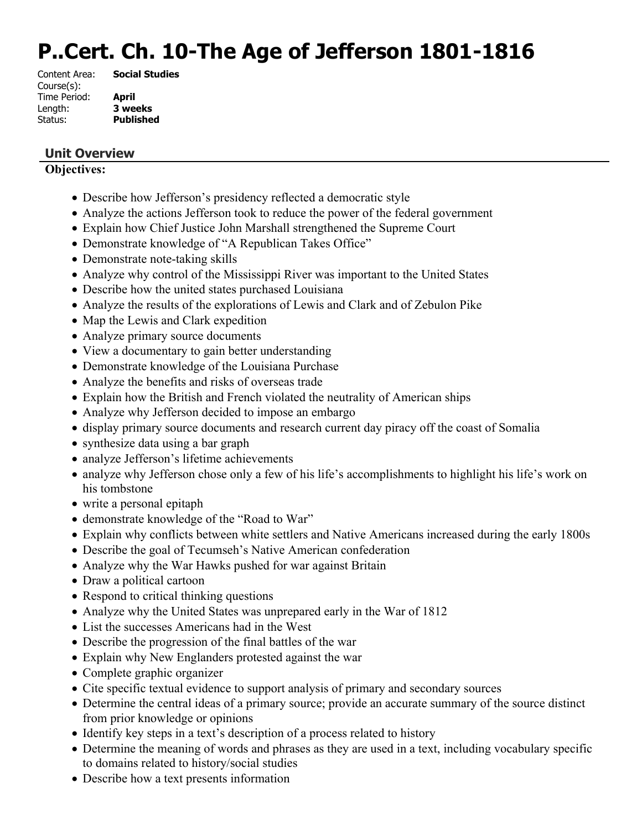# **P..Cert. Ch. 10-The Age of Jefferson 1801-1816**

| <b>Social Studies</b> |
|-----------------------|
|                       |
| April                 |
| 3 weeks               |
| <b>Published</b>      |
|                       |

# **Unit Overview**

#### **Objectives:**

- Describe how Jefferson's presidency reflected a democratic style
- Analyze the actions Jefferson took to reduce the power of the federal government
- Explain how Chief Justice John Marshall strengthened the Supreme Court
- Demonstrate knowledge of "A Republican Takes Office"
- Demonstrate note-taking skills
- Analyze why control of the Mississippi River was important to the United States
- Describe how the united states purchased Louisiana
- Analyze the results of the explorations of Lewis and Clark and of Zebulon Pike
- Map the Lewis and Clark expedition
- Analyze primary source documents
- View a documentary to gain better understanding
- Demonstrate knowledge of the Louisiana Purchase
- Analyze the benefits and risks of overseas trade
- Explain how the British and French violated the neutrality of American ships
- Analyze why Jefferson decided to impose an embargo
- display primary source documents and research current day piracy off the coast of Somalia
- synthesize data using a bar graph
- analyze Jefferson's lifetime achievements
- analyze why Jefferson chose only a few of his life's accomplishments to highlight his life's work on his tombstone
- write a personal epitaph
- demonstrate knowledge of the "Road to War"
- Explain why conflicts between white settlers and Native Americans increased during the early 1800s
- Describe the goal of Tecumseh's Native American confederation
- Analyze why the War Hawks pushed for war against Britain
- Draw a political cartoon
- Respond to critical thinking questions
- Analyze why the United States was unprepared early in the War of 1812
- List the successes Americans had in the West
- Describe the progression of the final battles of the war
- Explain why New Englanders protested against the war
- Complete graphic organizer
- Cite specific textual evidence to support analysis of primary and secondary sources
- Determine the central ideas of a primary source; provide an accurate summary of the source distinct from prior knowledge or opinions
- Identify key steps in a text's description of a process related to history
- Determine the meaning of words and phrases as they are used in a text, including vocabulary specific to domains related to history/social studies
- Describe how a text presents information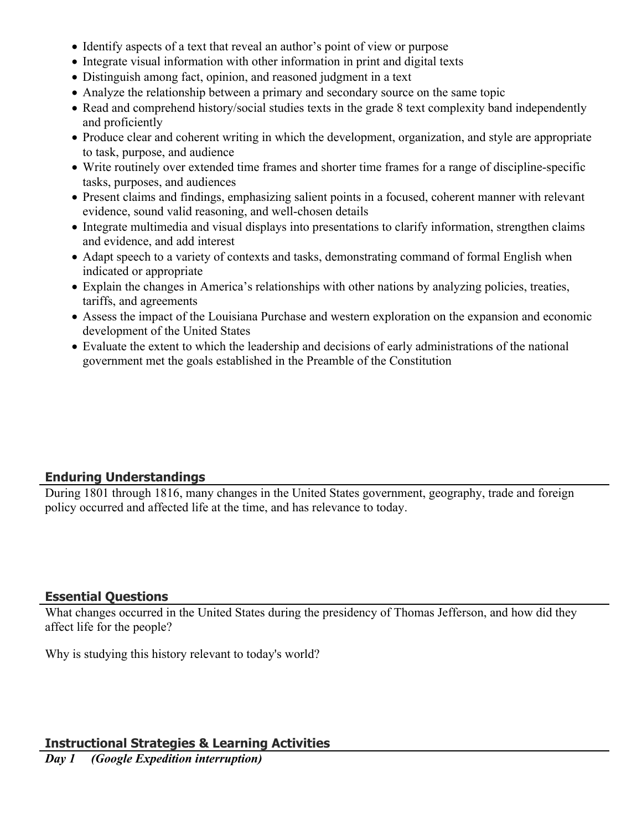- Identify aspects of a text that reveal an author's point of view or purpose
- Integrate visual information with other information in print and digital texts
- Distinguish among fact, opinion, and reasoned judgment in a text
- Analyze the relationship between a primary and secondary source on the same topic
- Read and comprehend history/social studies texts in the grade 8 text complexity band independently and proficiently
- Produce clear and coherent writing in which the development, organization, and style are appropriate to task, purpose, and audience
- Write routinely over extended time frames and shorter time frames for a range of discipline-specific tasks, purposes, and audiences
- Present claims and findings, emphasizing salient points in a focused, coherent manner with relevant evidence, sound valid reasoning, and well-chosen details
- Integrate multimedia and visual displays into presentations to clarify information, strengthen claims and evidence, and add interest
- Adapt speech to a variety of contexts and tasks, demonstrating command of formal English when indicated or appropriate
- Explain the changes in America's relationships with other nations by analyzing policies, treaties, tariffs, and agreements
- Assess the impact of the Louisiana Purchase and western exploration on the expansion and economic development of the United States
- Evaluate the extent to which the leadership and decisions of early administrations of the national government met the goals established in the Preamble of the Constitution

# **Enduring Understandings**

During 1801 through 1816, many changes in the United States government, geography, trade and foreign policy occurred and affected life at the time, and has relevance to today.

#### **Essential Questions**

What changes occurred in the United States during the presidency of Thomas Jefferson, and how did they affect life for the people?

Why is studying this history relevant to today's world?

#### **Instructional Strategies & Learning Activities**

*Day 1 (Google Expedition interruption)*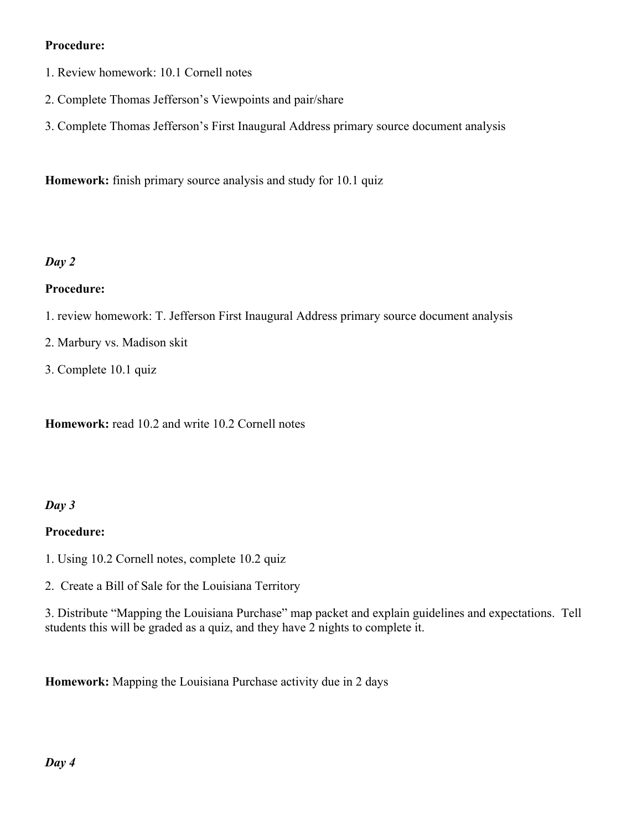# **Procedure:**

- 1. Review homework: 10.1 Cornell notes
- 2. Complete Thomas Jefferson's Viewpoints and pair/share
- 3. Complete Thomas Jefferson's First Inaugural Address primary source document analysis

**Homework:** finish primary source analysis and study for 10.1 quiz

# *Day 2*

#### **Procedure:**

- 1. review homework: T. Jefferson First Inaugural Address primary source document analysis
- 2. Marbury vs. Madison skit
- 3. Complete 10.1 quiz

**Homework:** read 10.2 and write 10.2 Cornell notes

#### *Day 3*

#### **Procedure:**

1. Using 10.2 Cornell notes, complete 10.2 quiz

2. Create a Bill of Sale for the Louisiana Territory

3. Distribute "Mapping the Louisiana Purchase" map packet and explain guidelines and expectations. Tell students this will be graded as a quiz, and they have 2 nights to complete it.

**Homework:** Mapping the Louisiana Purchase activity due in 2 days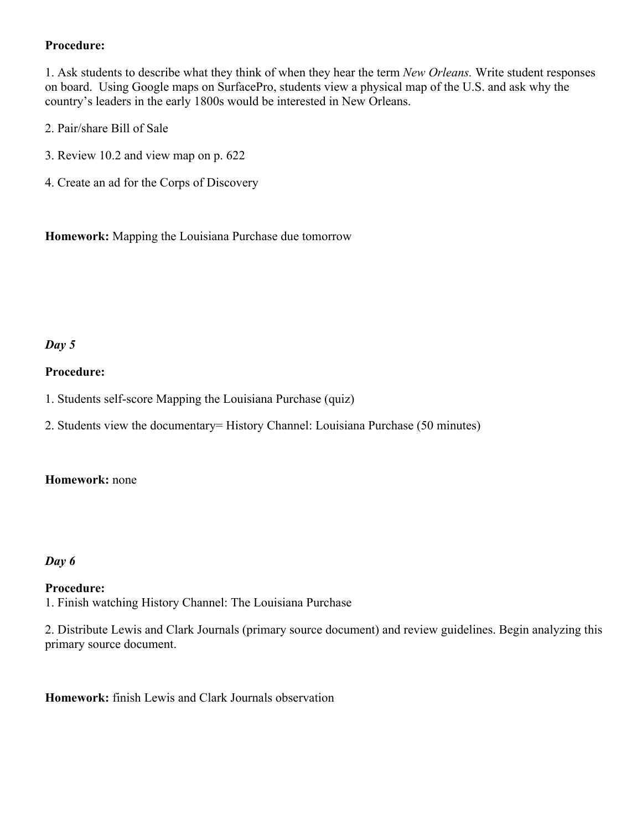### **Procedure:**

1. Ask students to describe what they think of when they hear the term *New Orleans.* Write student responses on board. Using Google maps on SurfacePro, students view a physical map of the U.S. and ask why the country's leaders in the early 1800s would be interested in New Orleans.

- 2. Pair/share Bill of Sale
- 3. Review 10.2 and view map on p. 622
- 4. Create an ad for the Corps of Discovery

**Homework:** Mapping the Louisiana Purchase due tomorrow

# *Day 5*

#### **Procedure:**

- 1. Students self-score Mapping the Louisiana Purchase (quiz)
- 2. Students view the documentary= History Channel: Louisiana Purchase (50 minutes)

#### **Homework:** none

#### *Day 6*

#### **Procedure:**

1. Finish watching History Channel: The Louisiana Purchase

2. Distribute Lewis and Clark Journals (primary source document) and review guidelines. Begin analyzing this primary source document.

**Homework:** finish Lewis and Clark Journals observation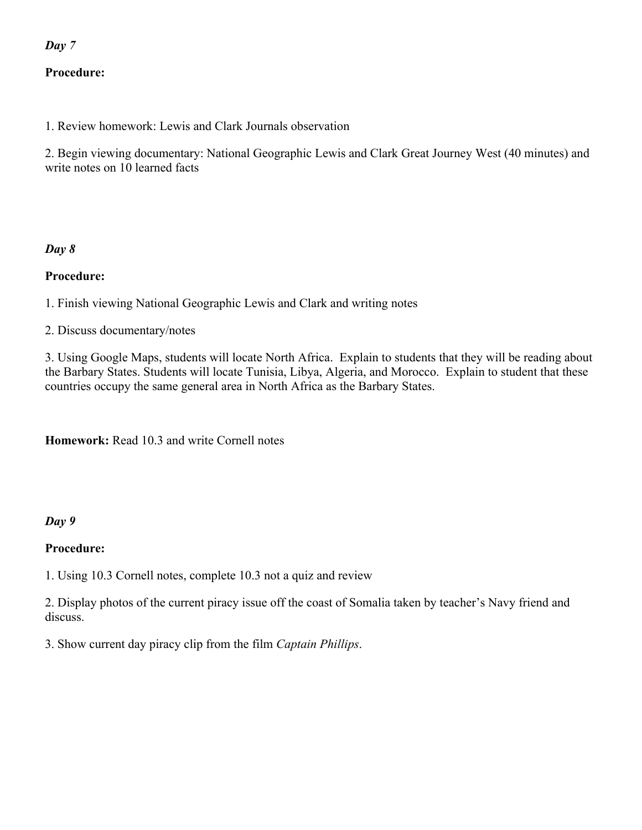# *Day 7*

# **Procedure:**

1. Review homework: Lewis and Clark Journals observation

2. Begin viewing documentary: National Geographic Lewis and Clark Great Journey West (40 minutes) and write notes on 10 learned facts

#### *Day 8*

#### **Procedure:**

1. Finish viewing National Geographic Lewis and Clark and writing notes

2. Discuss documentary/notes

3. Using Google Maps, students will locate North Africa. Explain to students that they will be reading about the Barbary States. Students will locate Tunisia, Libya, Algeria, and Morocco. Explain to student that these countries occupy the same general area in North Africa as the Barbary States.

**Homework:** Read 10.3 and write Cornell notes

#### *Day 9*

#### **Procedure:**

1. Using 10.3 Cornell notes, complete 10.3 not a quiz and review

2. Display photos of the current piracy issue off the coast of Somalia taken by teacher's Navy friend and discuss.

3. Show current day piracy clip from the film *Captain Phillips*.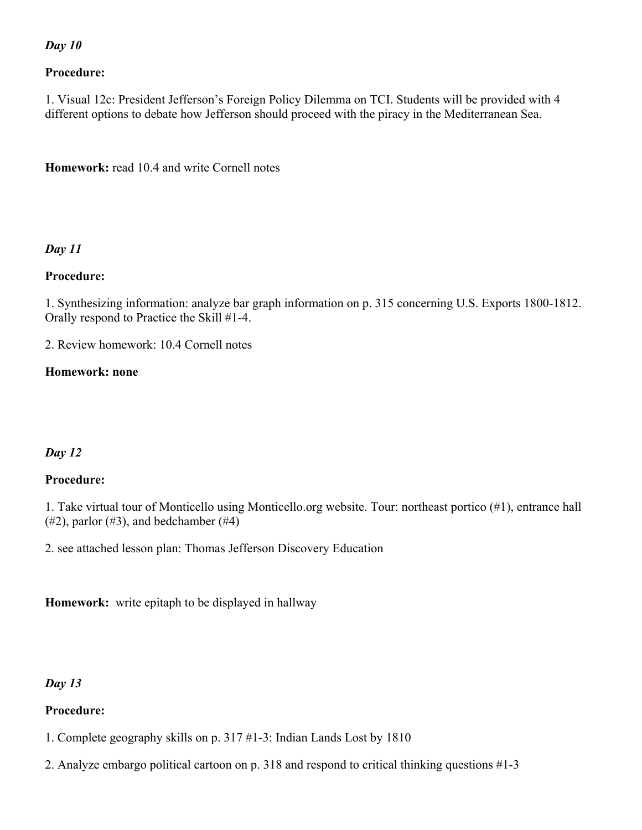#### *Day 10*

#### **Procedure:**

1. Visual 12c: President Jefferson's Foreign Policy Dilemma on TCI. Students will be provided with 4 different options to debate how Jefferson should proceed with the piracy in the Mediterranean Sea.

**Homework:** read 10.4 and write Cornell notes

#### *Day 11*

#### **Procedure:**

1. Synthesizing information: analyze bar graph information on p. 315 concerning U.S. Exports 1800-1812. Orally respond to Practice the Skill #1-4.

2. Review homework: 10.4 Cornell notes

#### **Homework: none**

# *Day 12*

#### **Procedure:**

1. Take virtual tour of Monticello using Monticello.org website. Tour: northeast portico (#1), entrance hall  $(\#2)$ , parlor  $(\#3)$ , and bedchamber  $(\#4)$ 

2. see attached lesson plan: Thomas Jefferson Discovery Education

**Homework:** write epitaph to be displayed in hallway

#### *Day 13*

#### **Procedure:**

- 1. Complete geography skills on p. 317 #1-3: Indian Lands Lost by 1810
- 2. Analyze embargo political cartoon on p. 318 and respond to critical thinking questions #1-3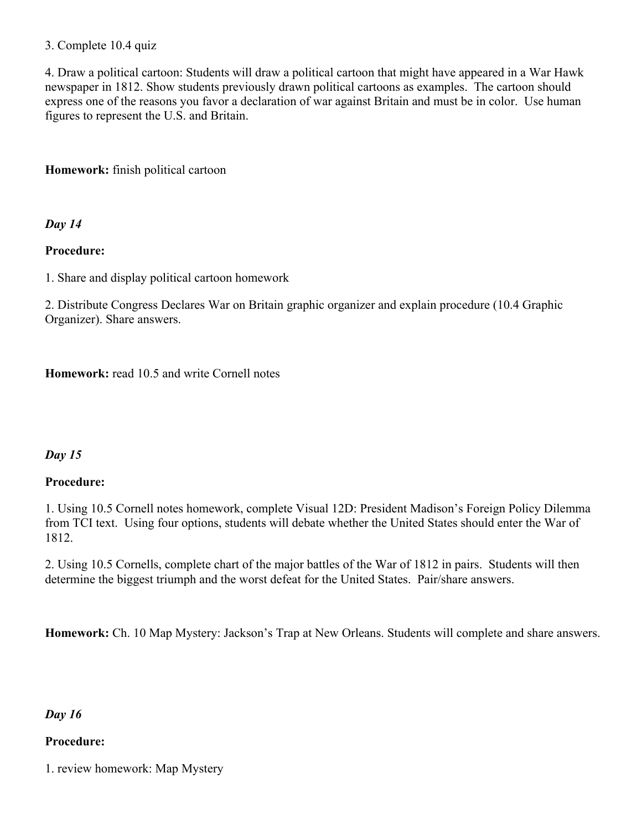#### 3. Complete 10.4 quiz

4. Draw a political cartoon: Students will draw a political cartoon that might have appeared in a War Hawk newspaper in 1812. Show students previously drawn political cartoons as examples. The cartoon should express one of the reasons you favor a declaration of war against Britain and must be in color. Use human figures to represent the U.S. and Britain.

**Homework:** finish political cartoon

*Day 14* 

# **Procedure:**

1. Share and display political cartoon homework

2. Distribute Congress Declares War on Britain graphic organizer and explain procedure (10.4 Graphic Organizer). Share answers.

**Homework:** read 10.5 and write Cornell notes

# *Day 15*

#### **Procedure:**

1. Using 10.5 Cornell notes homework, complete Visual 12D: President Madison's Foreign Policy Dilemma from TCI text. Using four options, students will debate whether the United States should enter the War of 1812.

2. Using 10.5 Cornells, complete chart of the major battles of the War of 1812 in pairs. Students will then determine the biggest triumph and the worst defeat for the United States. Pair/share answers.

**Homework:** Ch. 10 Map Mystery: Jackson's Trap at New Orleans. Students will complete and share answers.

#### *Day 16*

#### **Procedure:**

1. review homework: Map Mystery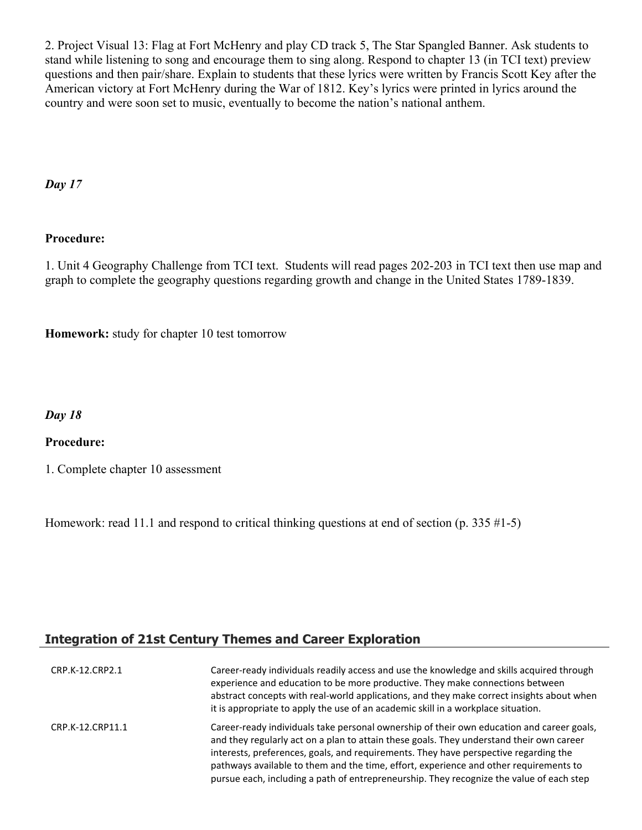2. Project Visual 13: Flag at Fort McHenry and play CD track 5, The Star Spangled Banner. Ask students to stand while listening to song and encourage them to sing along. Respond to chapter 13 (in TCI text) preview questions and then pair/share. Explain to students that these lyrics were written by Francis Scott Key after the American victory at Fort McHenry during the War of 1812. Key's lyrics were printed in lyrics around the country and were soon set to music, eventually to become the nation's national anthem.

*Day 17* 

#### **Procedure:**

1. Unit 4 Geography Challenge from TCI text. Students will read pages 202-203 in TCI text then use map and graph to complete the geography questions regarding growth and change in the United States 1789-1839.

**Homework:** study for chapter 10 test tomorrow

#### *Day 18*

#### **Procedure:**

1. Complete chapter 10 assessment

Homework: read 11.1 and respond to critical thinking questions at end of section (p. 335 #1-5)

# **Integration of 21st Century Themes and Career Exploration**

| CRP.K-12.CRP2.1  | Career-ready individuals readily access and use the knowledge and skills acquired through<br>experience and education to be more productive. They make connections between<br>abstract concepts with real-world applications, and they make correct insights about when<br>it is appropriate to apply the use of an academic skill in a workplace situation.                                                                                                       |
|------------------|--------------------------------------------------------------------------------------------------------------------------------------------------------------------------------------------------------------------------------------------------------------------------------------------------------------------------------------------------------------------------------------------------------------------------------------------------------------------|
| CRP.K-12.CRP11.1 | Career-ready individuals take personal ownership of their own education and career goals,<br>and they regularly act on a plan to attain these goals. They understand their own career<br>interests, preferences, goals, and requirements. They have perspective regarding the<br>pathways available to them and the time, effort, experience and other requirements to<br>pursue each, including a path of entrepreneurship. They recognize the value of each step |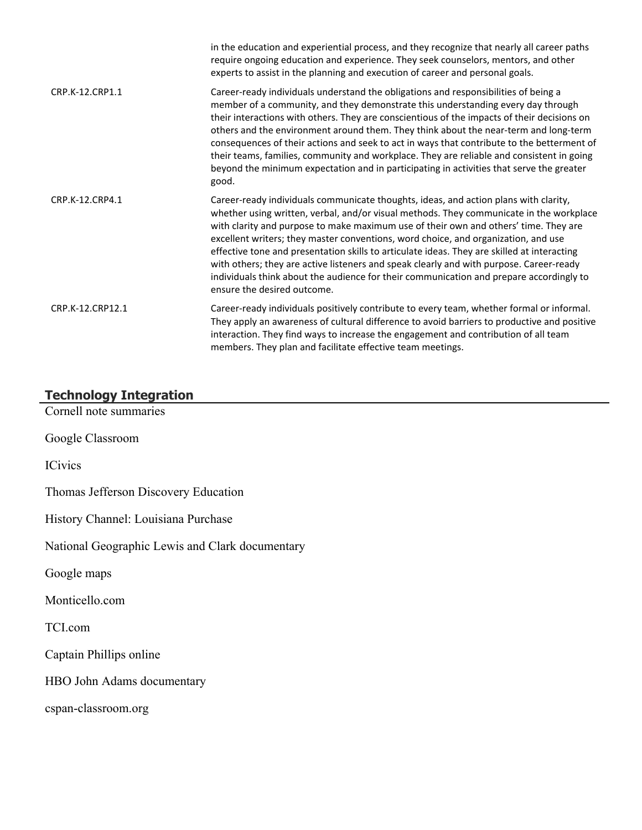|                  | in the education and experiential process, and they recognize that nearly all career paths<br>require ongoing education and experience. They seek counselors, mentors, and other<br>experts to assist in the planning and execution of career and personal goals.                                                                                                                                                                                                                                                                                                                                                                                                                 |
|------------------|-----------------------------------------------------------------------------------------------------------------------------------------------------------------------------------------------------------------------------------------------------------------------------------------------------------------------------------------------------------------------------------------------------------------------------------------------------------------------------------------------------------------------------------------------------------------------------------------------------------------------------------------------------------------------------------|
| CRP.K-12.CRP1.1  | Career-ready individuals understand the obligations and responsibilities of being a<br>member of a community, and they demonstrate this understanding every day through<br>their interactions with others. They are conscientious of the impacts of their decisions on<br>others and the environment around them. They think about the near-term and long-term<br>consequences of their actions and seek to act in ways that contribute to the betterment of<br>their teams, families, community and workplace. They are reliable and consistent in going<br>beyond the minimum expectation and in participating in activities that serve the greater<br>good.                    |
| CRP.K-12.CRP4.1  | Career-ready individuals communicate thoughts, ideas, and action plans with clarity,<br>whether using written, verbal, and/or visual methods. They communicate in the workplace<br>with clarity and purpose to make maximum use of their own and others' time. They are<br>excellent writers; they master conventions, word choice, and organization, and use<br>effective tone and presentation skills to articulate ideas. They are skilled at interacting<br>with others; they are active listeners and speak clearly and with purpose. Career-ready<br>individuals think about the audience for their communication and prepare accordingly to<br>ensure the desired outcome. |
| CRP.K-12.CRP12.1 | Career-ready individuals positively contribute to every team, whether formal or informal.<br>They apply an awareness of cultural difference to avoid barriers to productive and positive<br>interaction. They find ways to increase the engagement and contribution of all team<br>members. They plan and facilitate effective team meetings.                                                                                                                                                                                                                                                                                                                                     |

# **Technology Integration**

Cornell note summaries

Google Classroom

ICivics

Thomas Jefferson Discovery Education

History Channel: Louisiana Purchase

National Geographic Lewis and Clark documentary

Google maps

Monticello.com

TCI.com

Captain Phillips online

HBO John Adams documentary

cspan-classroom.org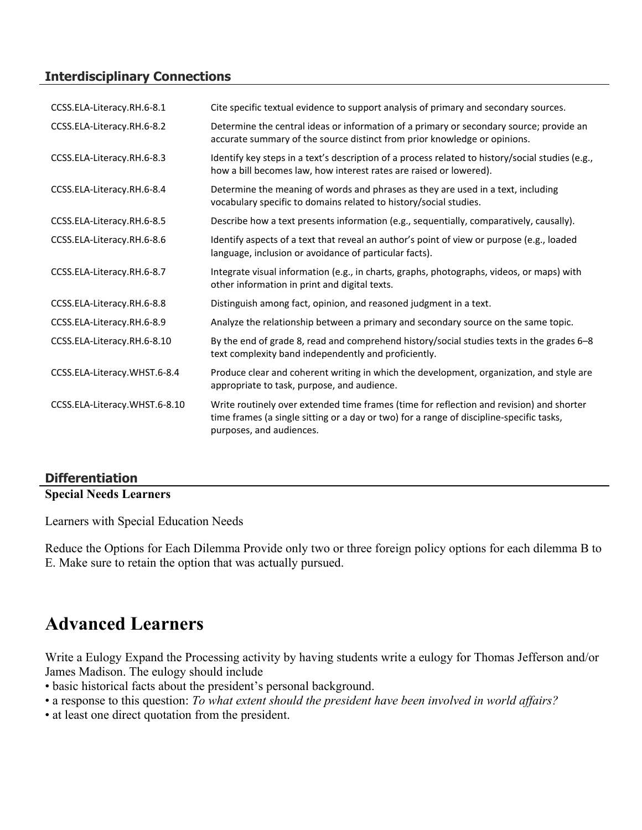# **Interdisciplinary Connections**

| CCSS.ELA-Literacy.RH.6-8.1    | Cite specific textual evidence to support analysis of primary and secondary sources.                                                                                                                             |
|-------------------------------|------------------------------------------------------------------------------------------------------------------------------------------------------------------------------------------------------------------|
| CCSS.ELA-Literacy.RH.6-8.2    | Determine the central ideas or information of a primary or secondary source; provide an<br>accurate summary of the source distinct from prior knowledge or opinions.                                             |
| CCSS.ELA-Literacy.RH.6-8.3    | Identify key steps in a text's description of a process related to history/social studies (e.g.,<br>how a bill becomes law, how interest rates are raised or lowered).                                           |
| CCSS.ELA-Literacy.RH.6-8.4    | Determine the meaning of words and phrases as they are used in a text, including<br>vocabulary specific to domains related to history/social studies.                                                            |
| CCSS.ELA-Literacy.RH.6-8.5    | Describe how a text presents information (e.g., sequentially, comparatively, causally).                                                                                                                          |
| CCSS.ELA-Literacy.RH.6-8.6    | Identify aspects of a text that reveal an author's point of view or purpose (e.g., loaded<br>language, inclusion or avoidance of particular facts).                                                              |
| CCSS.ELA-Literacy.RH.6-8.7    | Integrate visual information (e.g., in charts, graphs, photographs, videos, or maps) with<br>other information in print and digital texts.                                                                       |
| CCSS.ELA-Literacy.RH.6-8.8    | Distinguish among fact, opinion, and reasoned judgment in a text.                                                                                                                                                |
| CCSS.ELA-Literacy.RH.6-8.9    | Analyze the relationship between a primary and secondary source on the same topic.                                                                                                                               |
| CCSS.ELA-Literacy.RH.6-8.10   | By the end of grade 8, read and comprehend history/social studies texts in the grades 6-8<br>text complexity band independently and proficiently.                                                                |
| CCSS.ELA-Literacy.WHST.6-8.4  | Produce clear and coherent writing in which the development, organization, and style are<br>appropriate to task, purpose, and audience.                                                                          |
| CCSS.ELA-Literacy.WHST.6-8.10 | Write routinely over extended time frames (time for reflection and revision) and shorter<br>time frames (a single sitting or a day or two) for a range of discipline-specific tasks,<br>purposes, and audiences. |

# **Differentiation**

#### **Special Needs Learners**

Learners with Special Education Needs

Reduce the Options for Each Dilemma Provide only two or three foreign policy options for each dilemma B to E. Make sure to retain the option that was actually pursued.

# **Advanced Learners**

Write a Eulogy Expand the Processing activity by having students write a eulogy for Thomas Jefferson and/or James Madison. The eulogy should include

- basic historical facts about the president's personal background.
- a response to this question: *To what extent should the president have been involved in world affairs?*
- at least one direct quotation from the president.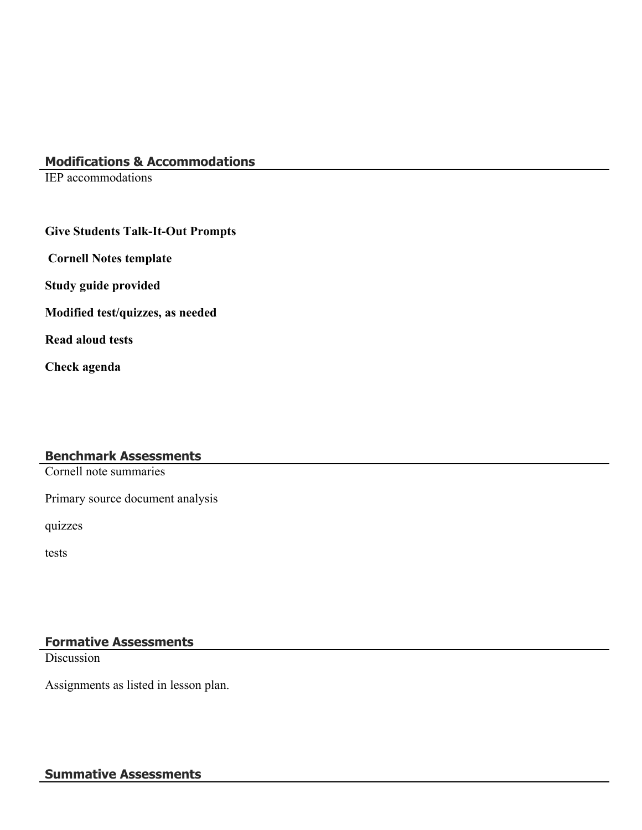#### **Modifications & Accommodations**

IEP accommodations

#### **Give Students Talk-It-Out Prompts**

 **Cornell Notes template**

**Study guide provided**

**Modified test/quizzes, as needed**

**Read aloud tests**

**Check agenda**

#### **Benchmark Assessments**

Cornell note summaries

Primary source document analysis

quizzes

tests

# **Formative Assessments**

**Discussion** 

Assignments as listed in lesson plan.

# **Summative Assessments**